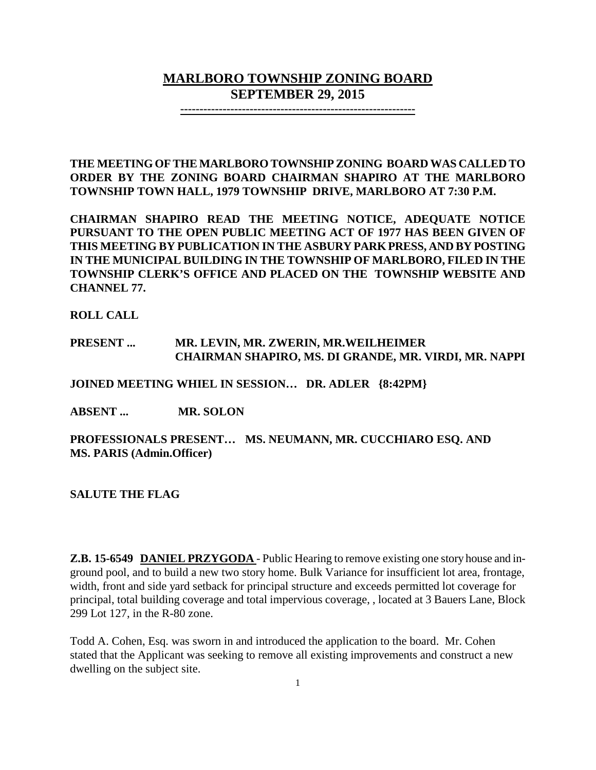# **MARLBORO TOWNSHIP ZONING BOARD SEPTEMBER 29, 2015**

**-------------------------------------------------------------**

**THE MEETING OF THE MARLBORO TOWNSHIP ZONING BOARD WAS CALLED TO ORDER BY THE ZONING BOARD CHAIRMAN SHAPIRO AT THE MARLBORO TOWNSHIP TOWN HALL, 1979 TOWNSHIP DRIVE, MARLBORO AT 7:30 P.M.**

**CHAIRMAN SHAPIRO READ THE MEETING NOTICE, ADEQUATE NOTICE PURSUANT TO THE OPEN PUBLIC MEETING ACT OF 1977 HAS BEEN GIVEN OF THIS MEETING BY PUBLICATION IN THE ASBURY PARK PRESS, AND BY POSTING IN THE MUNICIPAL BUILDING IN THE TOWNSHIP OF MARLBORO, FILED IN THE TOWNSHIP CLERK'S OFFICE AND PLACED ON THE TOWNSHIP WEBSITE AND CHANNEL 77.**

**ROLL CALL**

#### **PRESENT ... MR. LEVIN, MR. ZWERIN, MR.WEILHEIMER CHAIRMAN SHAPIRO, MS. DI GRANDE, MR. VIRDI, MR. NAPPI**

**JOINED MEETING WHIEL IN SESSION… DR. ADLER {8:42PM}**

**ABSENT ... MR. SOLON**

**PROFESSIONALS PRESENT… MS. NEUMANN, MR. CUCCHIARO ESQ. AND MS. PARIS (Admin.Officer)**

**SALUTE THE FLAG**

**Z.B. 15-6549 DANIEL PRZYGODA** - Public Hearing to remove existing one story house and inground pool, and to build a new two story home. Bulk Variance for insufficient lot area, frontage, width, front and side yard setback for principal structure and exceeds permitted lot coverage for principal, total building coverage and total impervious coverage, , located at 3 Bauers Lane, Block 299 Lot 127, in the R-80 zone.

Todd A. Cohen, Esq. was sworn in and introduced the application to the board. Mr. Cohen stated that the Applicant was seeking to remove all existing improvements and construct a new dwelling on the subject site.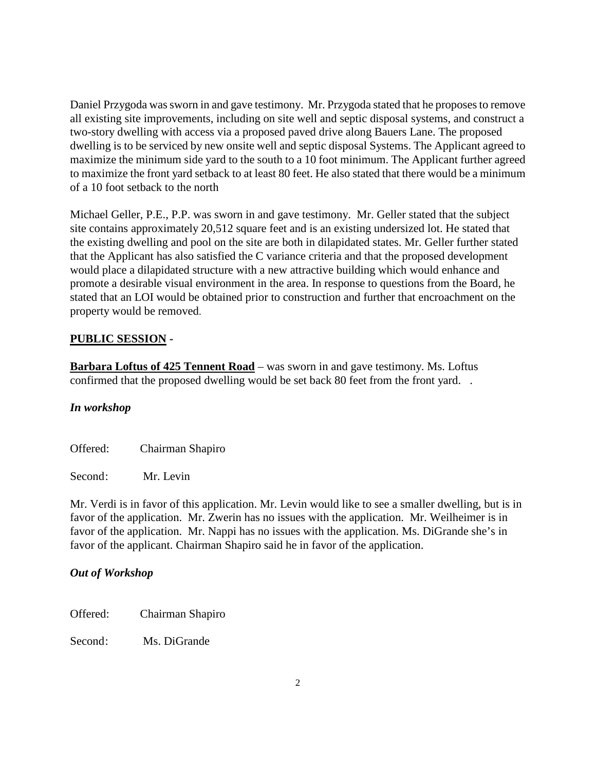Daniel Przygoda was sworn in and gave testimony. Mr. Przygoda stated that he proposes to remove all existing site improvements, including on site well and septic disposal systems, and construct a two-story dwelling with access via a proposed paved drive along Bauers Lane. The proposed dwelling is to be serviced by new onsite well and septic disposal Systems. The Applicant agreed to maximize the minimum side yard to the south to a 10 foot minimum. The Applicant further agreed to maximize the front yard setback to at least 80 feet. He also stated that there would be a minimum of a 10 foot setback to the north

Michael Geller, P.E., P.P. was sworn in and gave testimony. Mr. Geller stated that the subject site contains approximately 20,512 square feet and is an existing undersized lot. He stated that the existing dwelling and pool on the site are both in dilapidated states. Mr. Geller further stated that the Applicant has also satisfied the C variance criteria and that the proposed development would place a dilapidated structure with a new attractive building which would enhance and promote a desirable visual environment in the area. In response to questions from the Board, he stated that an LOI would be obtained prior to construction and further that encroachment on the property would be removed.

## **PUBLIC SESSION -**

**Barbara Loftus of 425 Tennent Road** – was sworn in and gave testimony. Ms. Loftus confirmed that the proposed dwelling would be set back 80 feet from the front yard. .

## *In workshop*

Offered: Chairman Shapiro

Second: Mr. Levin

Mr. Verdi is in favor of this application. Mr. Levin would like to see a smaller dwelling, but is in favor of the application. Mr. Zwerin has no issues with the application. Mr. Weilheimer is in favor of the application. Mr. Nappi has no issues with the application. Ms. DiGrande she's in favor of the applicant. Chairman Shapiro said he in favor of the application.

## *Out of Workshop*

Offered: Chairman Shapiro

Second: Ms. DiGrande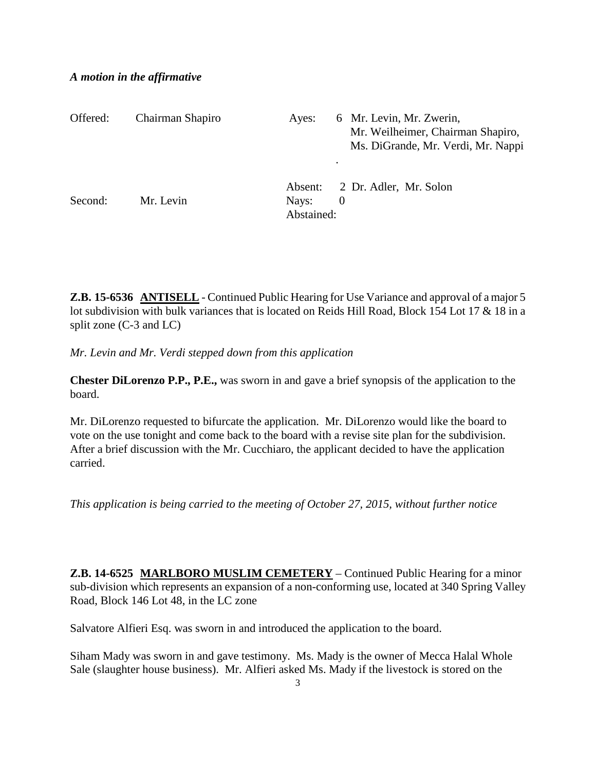#### *A motion in the affirmative*

| Offered: | Chairman Shapiro | Ayes:               |          | 6 Mr. Levin, Mr. Zwerin,<br>Mr. Weilheimer, Chairman Shapiro,<br>Ms. DiGrande, Mr. Verdi, Mr. Nappi |
|----------|------------------|---------------------|----------|-----------------------------------------------------------------------------------------------------|
| Second:  | Mr. Levin        | Nays:<br>Abstained: | $\theta$ | Absent: 2 Dr. Adler, Mr. Solon                                                                      |

**Z.B. 15-6536 ANTISELL** - Continued Public Hearing for Use Variance and approval of a major 5 lot subdivision with bulk variances that is located on Reids Hill Road, Block 154 Lot 17 & 18 in a split zone (C-3 and LC)

*Mr. Levin and Mr. Verdi stepped down from this application*

**Chester DiLorenzo P.P., P.E.,** was sworn in and gave a brief synopsis of the application to the board.

Mr. DiLorenzo requested to bifurcate the application. Mr. DiLorenzo would like the board to vote on the use tonight and come back to the board with a revise site plan for the subdivision. After a brief discussion with the Mr. Cucchiaro, the applicant decided to have the application carried.

*This application is being carried to the meeting of October 27, 2015, without further notice*

**Z.B. 14-6525 MARLBORO MUSLIM CEMETERY** – Continued Public Hearing for a minor sub-division which represents an expansion of a non-conforming use, located at 340 Spring Valley Road, Block 146 Lot 48, in the LC zone

Salvatore Alfieri Esq. was sworn in and introduced the application to the board.

Siham Mady was sworn in and gave testimony. Ms. Mady is the owner of Mecca Halal Whole Sale (slaughter house business). Mr. Alfieri asked Ms. Mady if the livestock is stored on the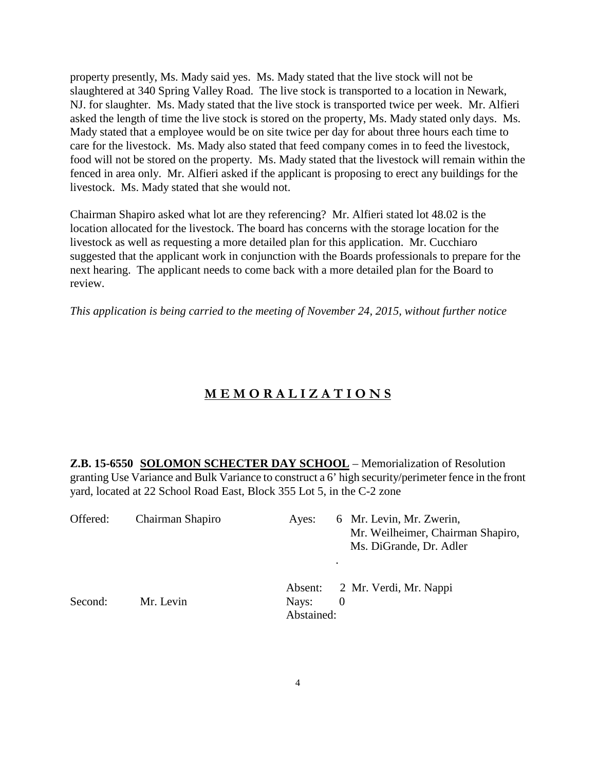property presently, Ms. Mady said yes. Ms. Mady stated that the live stock will not be slaughtered at 340 Spring Valley Road. The live stock is transported to a location in Newark, NJ. for slaughter. Ms. Mady stated that the live stock is transported twice per week. Mr. Alfieri asked the length of time the live stock is stored on the property, Ms. Mady stated only days. Ms. Mady stated that a employee would be on site twice per day for about three hours each time to care for the livestock. Ms. Mady also stated that feed company comes in to feed the livestock, food will not be stored on the property. Ms. Mady stated that the livestock will remain within the fenced in area only. Mr. Alfieri asked if the applicant is proposing to erect any buildings for the livestock. Ms. Mady stated that she would not.

Chairman Shapiro asked what lot are they referencing? Mr. Alfieri stated lot 48.02 is the location allocated for the livestock. The board has concerns with the storage location for the livestock as well as requesting a more detailed plan for this application. Mr. Cucchiaro suggested that the applicant work in conjunction with the Boards professionals to prepare for the next hearing. The applicant needs to come back with a more detailed plan for the Board to review.

*This application is being carried to the meeting of November 24, 2015, without further notice*

## **M E M O R A L I Z A T I O N S**

**Z.B. 15-6550 SOLOMON SCHECTER DAY SCHOOL** – Memorialization of Resolution granting Use Variance and Bulk Variance to construct a 6' high security/perimeter fence in the front yard, located at 22 School Road East, Block 355 Lot 5, in the C-2 zone

| Offered: | Chairman Shapiro | 6 Mr. Levin, Mr. Zwerin,<br>Ayes:<br>Mr. Weilheimer, Chairman Shapiro,<br>Ms. DiGrande, Dr. Adler<br>$\bullet$ |  |
|----------|------------------|----------------------------------------------------------------------------------------------------------------|--|
| Second:  | Mr. Levin        | Absent: 2 Mr. Verdi, Mr. Nappi<br>Nays:<br>$\theta$<br>Abstained:                                              |  |